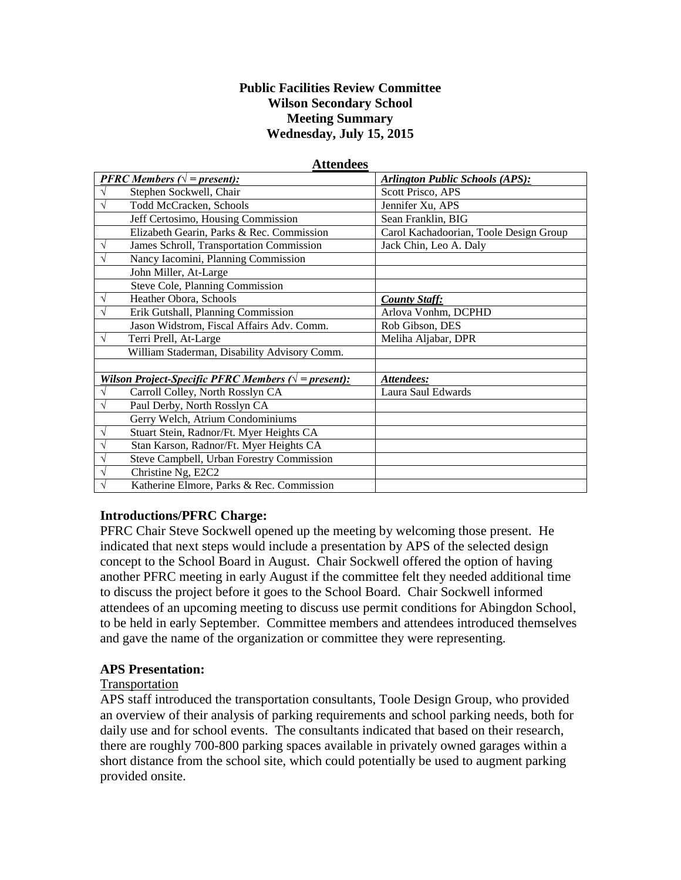### **Public Facilities Review Committee Wilson Secondary School Meeting Summary Wednesday, July 15, 2015**

| гиинись                                                      |                                              |                                        |
|--------------------------------------------------------------|----------------------------------------------|----------------------------------------|
|                                                              | <b>PFRC</b> Members ( $\sqrt{}$ = present):  | <b>Arlington Public Schools (APS):</b> |
|                                                              | Stephen Sockwell, Chair                      | Scott Prisco, APS                      |
|                                                              | <b>Todd McCracken, Schools</b>               | Jennifer Xu, APS                       |
|                                                              | Jeff Certosimo, Housing Commission           | Sean Franklin, BIG                     |
|                                                              | Elizabeth Gearin, Parks & Rec. Commission    | Carol Kachadoorian, Toole Design Group |
|                                                              | James Schroll, Transportation Commission     | Jack Chin, Leo A. Daly                 |
|                                                              | Nancy Iacomini, Planning Commission          |                                        |
|                                                              | John Miller, At-Large                        |                                        |
|                                                              | Steve Cole, Planning Commission              |                                        |
| V                                                            | Heather Obora, Schools                       | <b>County Staff:</b>                   |
|                                                              | Erik Gutshall, Planning Commission           | Arlova Vonhm, DCPHD                    |
|                                                              | Jason Widstrom, Fiscal Affairs Adv. Comm.    | Rob Gibson, DES                        |
| V                                                            | Terri Prell, At-Large                        | Meliha Aljabar, DPR                    |
|                                                              | William Staderman, Disability Advisory Comm. |                                        |
|                                                              |                                              |                                        |
| Wilson Project-Specific PFRC Members ( $\sqrt{}$ = present): |                                              | Attendees:                             |
|                                                              | Carroll Colley, North Rosslyn CA             | Laura Saul Edwards                     |
|                                                              | Paul Derby, North Rosslyn CA                 |                                        |
|                                                              | Gerry Welch, Atrium Condominiums             |                                        |
|                                                              | Stuart Stein, Radnor/Ft. Myer Heights CA     |                                        |
|                                                              | Stan Karson, Radnor/Ft. Myer Heights CA      |                                        |
|                                                              | Steve Campbell, Urban Forestry Commission    |                                        |
|                                                              | Christine Ng, E2C2                           |                                        |
|                                                              | Katherine Elmore, Parks & Rec. Commission    |                                        |

#### **Attendees**

#### **Introductions/PFRC Charge:**

PFRC Chair Steve Sockwell opened up the meeting by welcoming those present. He indicated that next steps would include a presentation by APS of the selected design concept to the School Board in August. Chair Sockwell offered the option of having another PFRC meeting in early August if the committee felt they needed additional time to discuss the project before it goes to the School Board. Chair Sockwell informed attendees of an upcoming meeting to discuss use permit conditions for Abingdon School, to be held in early September. Committee members and attendees introduced themselves and gave the name of the organization or committee they were representing.

#### **APS Presentation:**

#### Transportation

APS staff introduced the transportation consultants, Toole Design Group, who provided an overview of their analysis of parking requirements and school parking needs, both for daily use and for school events. The consultants indicated that based on their research, there are roughly 700-800 parking spaces available in privately owned garages within a short distance from the school site, which could potentially be used to augment parking provided onsite.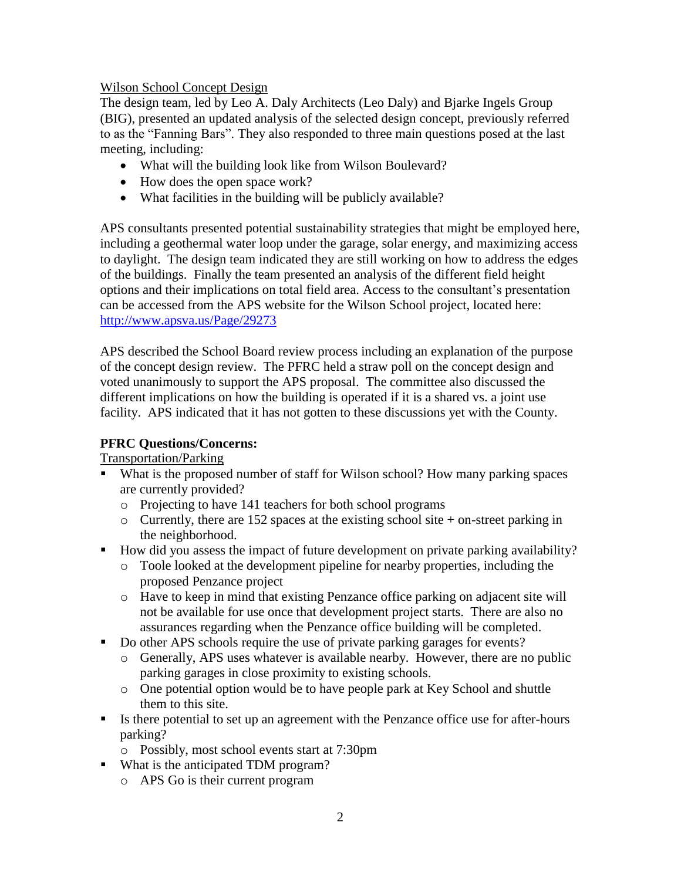## Wilson School Concept Design

The design team, led by Leo A. Daly Architects (Leo Daly) and Bjarke Ingels Group (BIG), presented an updated analysis of the selected design concept, previously referred to as the "Fanning Bars". They also responded to three main questions posed at the last meeting, including:

- What will the building look like from Wilson Boulevard?
- How does the open space work?
- What facilities in the building will be publicly available?

APS consultants presented potential sustainability strategies that might be employed here, including a geothermal water loop under the garage, solar energy, and maximizing access to daylight. The design team indicated they are still working on how to address the edges of the buildings. Finally the team presented an analysis of the different field height options and their implications on total field area. Access to the consultant's presentation can be accessed from the APS website for the Wilson School project, located here: <http://www.apsva.us/Page/29273>

APS described the School Board review process including an explanation of the purpose of the concept design review. The PFRC held a straw poll on the concept design and voted unanimously to support the APS proposal. The committee also discussed the different implications on how the building is operated if it is a shared vs. a joint use facility. APS indicated that it has not gotten to these discussions yet with the County.

## **PFRC Questions/Concerns:**

Transportation/Parking

- What is the proposed number of staff for Wilson school? How many parking spaces are currently provided?
	- o Projecting to have 141 teachers for both school programs
	- $\circ$  Currently, there are 152 spaces at the existing school site + on-street parking in the neighborhood.
- How did you assess the impact of future development on private parking availability?
	- o Toole looked at the development pipeline for nearby properties, including the proposed Penzance project
	- o Have to keep in mind that existing Penzance office parking on adjacent site will not be available for use once that development project starts. There are also no assurances regarding when the Penzance office building will be completed.
- Do other APS schools require the use of private parking garages for events?
	- o Generally, APS uses whatever is available nearby. However, there are no public parking garages in close proximity to existing schools.
	- o One potential option would be to have people park at Key School and shuttle them to this site.
- Is there potential to set up an agreement with the Penzance office use for after-hours parking?
	- o Possibly, most school events start at 7:30pm
- What is the anticipated TDM program?
	- o APS Go is their current program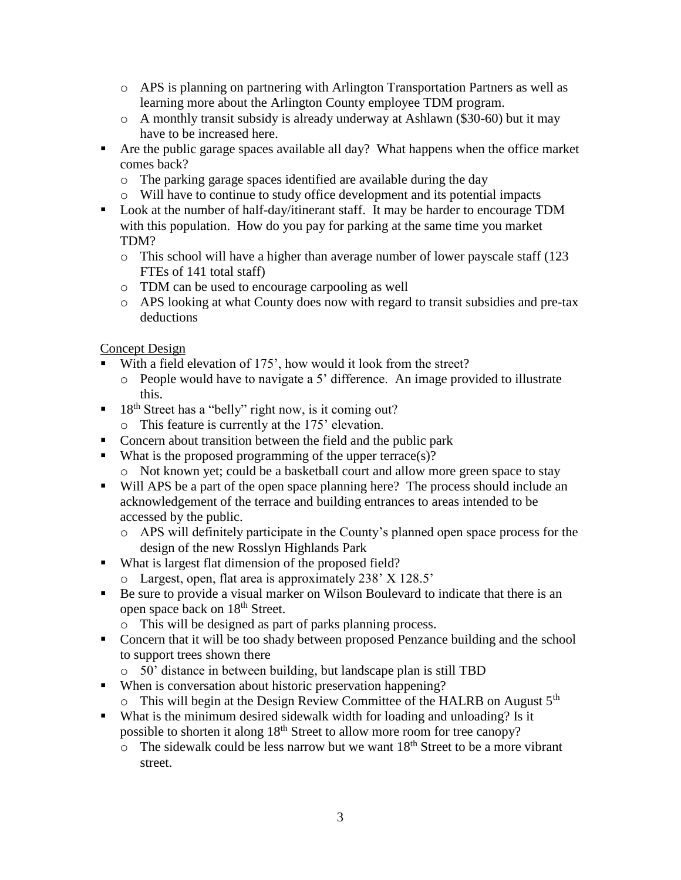- o APS is planning on partnering with Arlington Transportation Partners as well as learning more about the Arlington County employee TDM program.
- $\circ$  A monthly transit subsidy is already underway at Ashlawn (\$30-60) but it may have to be increased here.
- Are the public garage spaces available all day? What happens when the office market comes back?
	- o The parking garage spaces identified are available during the day
	- o Will have to continue to study office development and its potential impacts
- Look at the number of half-day/itinerant staff. It may be harder to encourage TDM with this population. How do you pay for parking at the same time you market TDM?
	- o This school will have a higher than average number of lower payscale staff (123 FTEs of 141 total staff)
	- o TDM can be used to encourage carpooling as well
	- o APS looking at what County does now with regard to transit subsidies and pre-tax deductions

Concept Design

- With a field elevation of 175', how would it look from the street?
	- o People would have to navigate a 5' difference. An image provided to illustrate this.
- $\blacksquare$  18<sup>th</sup> Street has a "belly" right now, is it coming out?
	- o This feature is currently at the 175' elevation.
- Concern about transition between the field and the public park
- What is the proposed programming of the upper terrace(s)?
	- o Not known yet; could be a basketball court and allow more green space to stay
- Will APS be a part of the open space planning here? The process should include an acknowledgement of the terrace and building entrances to areas intended to be accessed by the public.
	- o APS will definitely participate in the County's planned open space process for the design of the new Rosslyn Highlands Park
- What is largest flat dimension of the proposed field?
	- o Largest, open, flat area is approximately 238' X 128.5'
- Be sure to provide a visual marker on Wilson Boulevard to indicate that there is an open space back on 18th Street.
	- o This will be designed as part of parks planning process.
- Concern that it will be too shady between proposed Penzance building and the school to support trees shown there
	- o 50' distance in between building, but landscape plan is still TBD
- When is conversation about historic preservation happening?
	- o This will begin at the Design Review Committee of the HALRB on August 5<sup>th</sup>
- What is the minimum desired sidewalk width for loading and unloading? Is it possible to shorten it along 18<sup>th</sup> Street to allow more room for tree canopy?
	- $\circ$  The sidewalk could be less narrow but we want 18<sup>th</sup> Street to be a more vibrant street.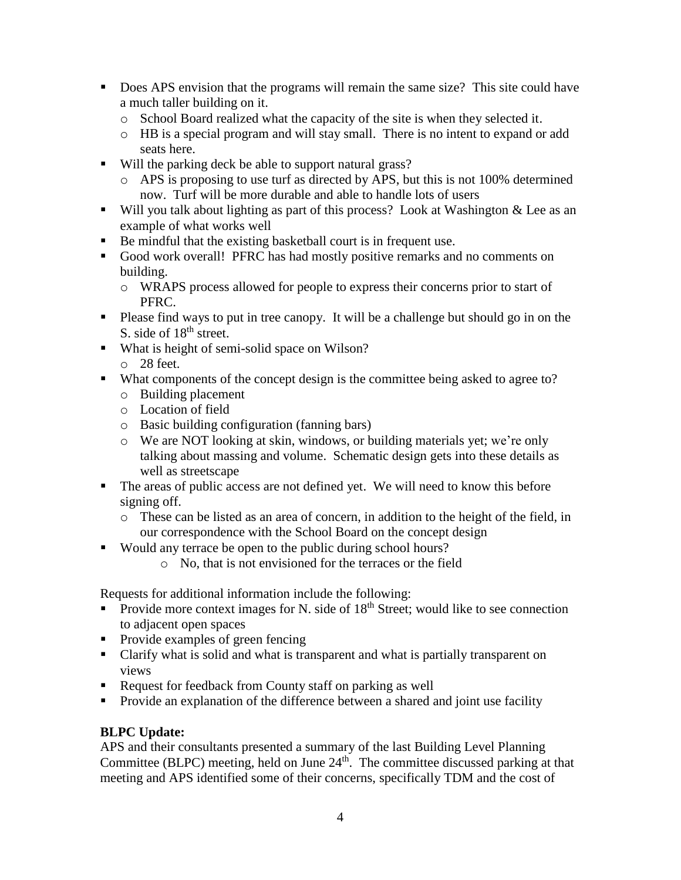- Does APS envision that the programs will remain the same size? This site could have a much taller building on it.
	- $\circ$  School Board realized what the capacity of the site is when they selected it.
	- o HB is a special program and will stay small. There is no intent to expand or add seats here.
- Will the parking deck be able to support natural grass?
	- o APS is proposing to use turf as directed by APS, but this is not 100% determined now. Turf will be more durable and able to handle lots of users
- Will you talk about lighting as part of this process? Look at Washington  $\&$  Lee as an example of what works well
- Be mindful that the existing basketball court is in frequent use.
- Good work overall! PFRC has had mostly positive remarks and no comments on building.
	- o WRAPS process allowed for people to express their concerns prior to start of PFRC.
- Please find ways to put in tree canopy. It will be a challenge but should go in on the S. side of  $18<sup>th</sup>$  street.
- What is height of semi-solid space on Wilson? o 28 feet.
- What components of the concept design is the committee being asked to agree to?
	- o Building placement
	- o Location of field
	- o Basic building configuration (fanning bars)
	- o We are NOT looking at skin, windows, or building materials yet; we're only talking about massing and volume. Schematic design gets into these details as well as streetscape
- The areas of public access are not defined yet. We will need to know this before signing off.
	- o These can be listed as an area of concern, in addition to the height of the field, in our correspondence with the School Board on the concept design
- Would any terrace be open to the public during school hours?
	- o No, that is not envisioned for the terraces or the field

Requests for additional information include the following:

- Provide more context images for N. side of 18<sup>th</sup> Street; would like to see connection to adjacent open spaces
- Provide examples of green fencing
- Clarify what is solid and what is transparent and what is partially transparent on views
- Request for feedback from County staff on parking as well
- **Provide an explanation of the difference between a shared and joint use facility**

# **BLPC Update:**

APS and their consultants presented a summary of the last Building Level Planning Committee (BLPC) meeting, held on June  $24<sup>th</sup>$ . The committee discussed parking at that meeting and APS identified some of their concerns, specifically TDM and the cost of